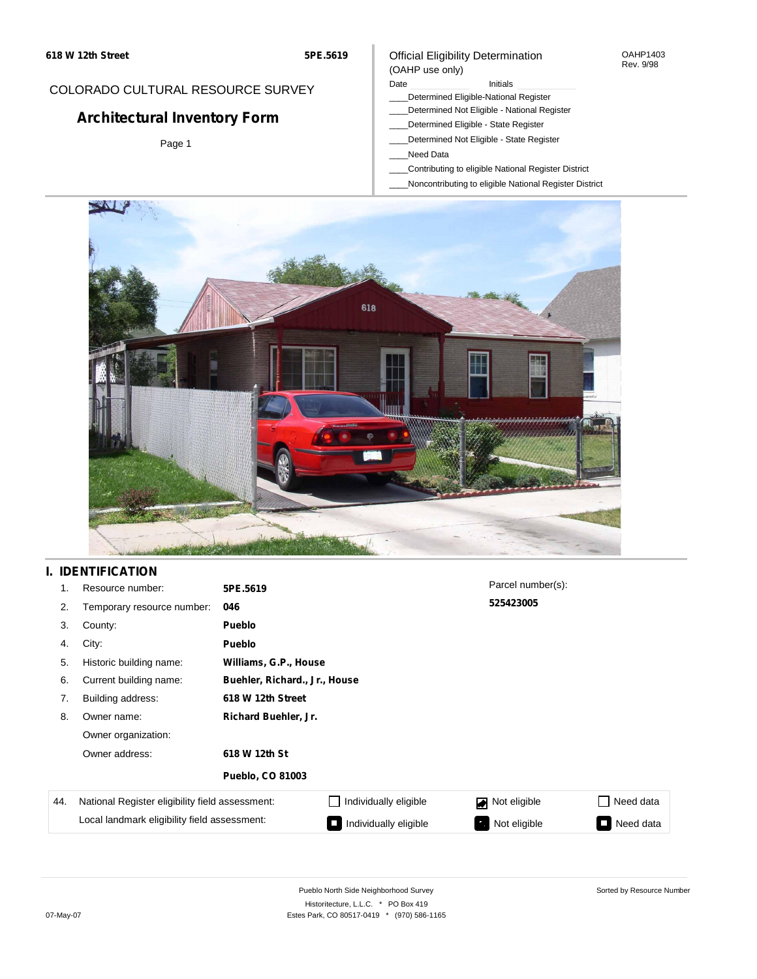# OAHP1403

## Rev. 9/98

## COLORADO CULTURAL RESOURCE SURVEY

# **Architectural Inventory Form**

Page 1

### Date **Initials** Initials

Official Eligibility Determination

- \_\_\_\_Determined Eligible-National Register
- \_\_\_\_Determined Not Eligible National Register
- \_\_\_\_Determined Eligible State Register
- \_\_\_\_Determined Not Eligible State Register
- \_\_\_\_Need Data

(OAHP use only)

- \_\_\_\_Contributing to eligible National Register District
- \_\_\_\_Noncontributing to eligible National Register District



## **I. IDENTIFICATION**

| 1.  | Resource number:                                | 5PE.5619                      |                       | Parcel number(s): |                  |  |
|-----|-------------------------------------------------|-------------------------------|-----------------------|-------------------|------------------|--|
| 2.  | Temporary resource number:                      | 046                           |                       | 525423005         |                  |  |
| 3.  | County:                                         | <b>Pueblo</b>                 |                       |                   |                  |  |
| 4.  | City:                                           | <b>Pueblo</b>                 |                       |                   |                  |  |
| 5.  | Historic building name:                         | Williams, G.P., House         |                       |                   |                  |  |
| 6.  | Current building name:                          | Buehler, Richard., Jr., House |                       |                   |                  |  |
| 7.  | Building address:                               | 618 W 12th Street             |                       |                   |                  |  |
| 8.  | Owner name:                                     | Richard Buehler, Jr.          |                       |                   |                  |  |
|     | Owner organization:                             |                               |                       |                   |                  |  |
|     | Owner address:                                  | 618 W 12th St                 |                       |                   |                  |  |
|     |                                                 | <b>Pueblo, CO 81003</b>       |                       |                   |                  |  |
| 44. | National Register eligibility field assessment: |                               | Individually eligible | Not eligible      | $\Box$ Need data |  |
|     | Local landmark eligibility field assessment:    |                               | Individually eligible | Not eligible<br>ъ | Need data<br>n.  |  |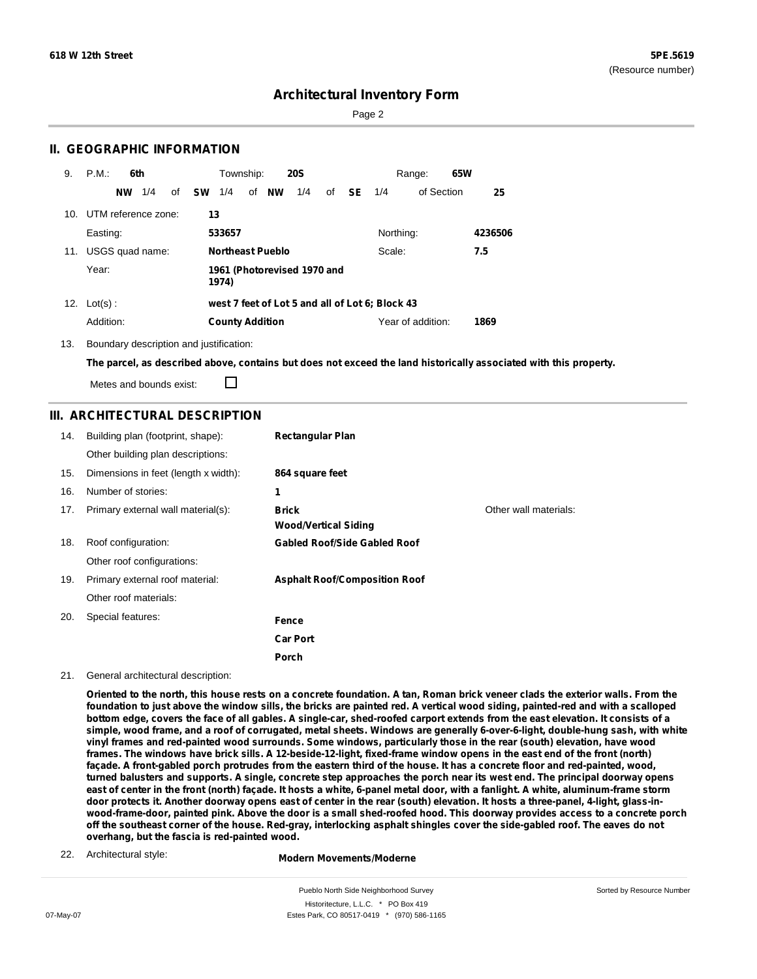Sorted by Resource Number

## **Architectural Inventory Form**

Page 2

### **II. GEOGRAPHIC INFORMATION**

| 9.  | P.M.<br>6th            | Township:<br><b>20S</b>                         | 65W<br>Range:             |
|-----|------------------------|-------------------------------------------------|---------------------------|
|     | 1/4<br>of<br><b>NW</b> | of NW<br><b>SW</b><br>1/4<br>1/4<br>SE<br>of    | of Section<br>1/4<br>25   |
| 10. | UTM reference zone:    | 13                                              |                           |
|     | Easting:               | 533657                                          | Northing:<br>4236506      |
| 11. | USGS quad name:        | <b>Northeast Pueblo</b>                         | 7.5<br>Scale:             |
|     | Year:                  | 1961 (Photorevised 1970 and<br>1974)            |                           |
| 12. | $Lot(s)$ :             | west 7 feet of Lot 5 and all of Lot 6; Block 43 |                           |
|     | Addition:              | <b>County Addition</b>                          | Year of addition:<br>1869 |

13. Boundary description and justification:

The parcel, as described above, contains but does not exceed the land historically associated with this property.

Metes and bounds exist:

П

### **III. ARCHITECTURAL DESCRIPTION**

| 14. | Building plan (footprint, shape):    | <b>Rectangular Plan</b>              |                       |
|-----|--------------------------------------|--------------------------------------|-----------------------|
|     | Other building plan descriptions:    |                                      |                       |
| 15. | Dimensions in feet (length x width): | 864 square feet                      |                       |
| 16. | Number of stories:                   | 1                                    |                       |
| 17. | Primary external wall material(s):   | <b>Brick</b>                         | Other wall materials: |
|     |                                      | <b>Wood/Vertical Siding</b>          |                       |
| 18. | Roof configuration:                  | <b>Gabled Roof/Side Gabled Roof</b>  |                       |
|     | Other roof configurations:           |                                      |                       |
| 19. | Primary external roof material:      | <b>Asphalt Roof/Composition Roof</b> |                       |
|     | Other roof materials:                |                                      |                       |
| 20. | Special features:                    | Fence                                |                       |
|     |                                      | <b>Car Port</b>                      |                       |
|     |                                      | Porch                                |                       |

#### 21. General architectural description:

Oriented to the north, this house rests on a concrete foundation. A tan, Roman brick veneer clads the exterior walls. From the foundation to just above the window sills, the bricks are painted red. A vertical wood siding, painted-red and with a scalloped bottom edge, covers the face of all gables. A single-car, shed-roofed carport extends from the east elevation. It consists of a simple, wood frame, and a roof of corrugated, metal sheets. Windows are generally 6-over-6-light, double-hung sash, with white vinyl frames and red-painted wood surrounds. Some windows, particularly those in the rear (south) elevation, have wood frames. The windows have brick sills. A 12-beside-12-light, fixed-frame window opens in the east end of the front (north) façade. A front-gabled porch protrudes from the eastern third of the house. It has a concrete floor and red-painted, wood, turned balusters and supports. A single, concrete step approaches the porch near its west end. The principal doorway opens east of center in the front (north) façade. It hosts a white, 6-panel metal door, with a fanlight. A white, aluminum-frame storm door protects it. Another doorway opens east of center in the rear (south) elevation. It hosts a three-panel, 4-light, glass-inwood-frame-door, painted pink. Above the door is a small shed-roofed hood. This doorway provides access to a concrete porch off the southeast corner of the house. Red-gray, interlocking asphalt shingles cover the side-gabled roof. The eaves do not **overhang, but the fascia is red-painted wood.**

22. Architectural style:

#### **Modern Movements/Moderne**

Pueblo North Side Neighborhood Survey Historitecture, L.L.C. \* PO Box 419 07-May-07 **Estes Park, CO 80517-0419** \* (970) 586-1165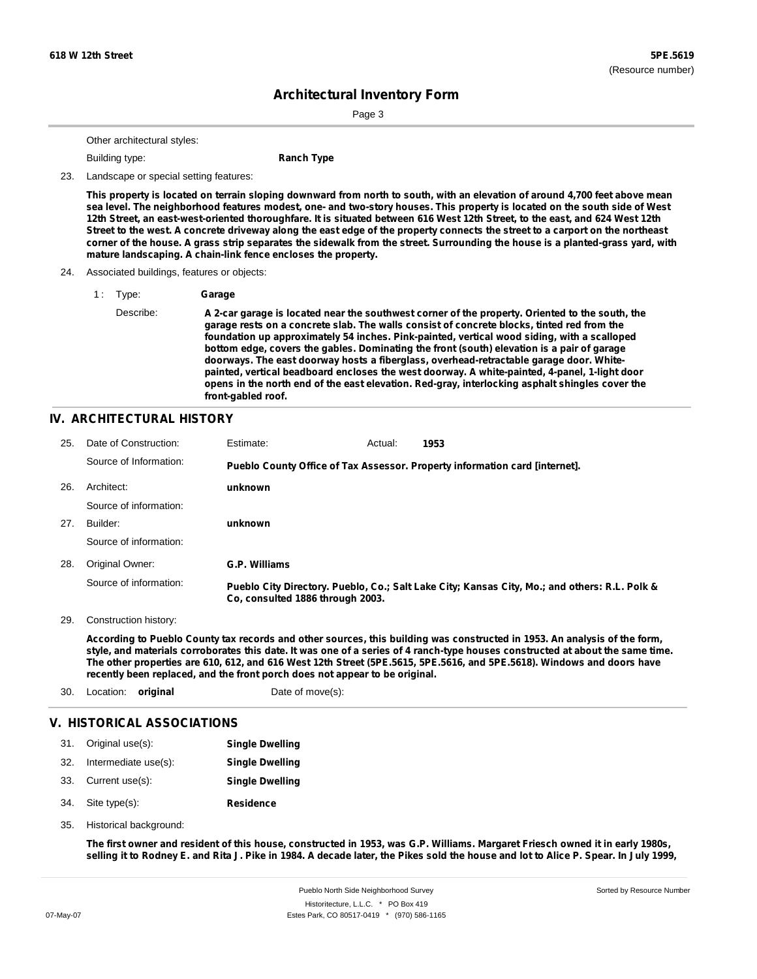Sorted by Resource Number

# **Architectural Inventory Form**

Page 3

Other architectural styles:

**Building type: Ranch Type** 

23. Landscape or special setting features:

This property is located on terrain sloping downward from north to south, with an elevation of around 4,700 feet above mean sea level. The neighborhood features modest, one- and two-story houses. This property is located on the south side of West 12th Street, an east-west-oriented thoroughfare. It is situated between 616 West 12th Street, to the east, and 624 West 12th Street to the west. A concrete driveway along the east edge of the property connects the street to a carport on the northeast corner of the house. A grass strip separates the sidewalk from the street. Surrounding the house is a planted-grass yard, with **mature landscaping. A chain-link fence encloses the property.**

#### 24. Associated buildings, features or objects:

1 : Type: **Garage**

Describe: **A 2-car garage is located near the southwest corner of the property. Oriented to the south, the garage rests on a concrete slab. The walls consist of concrete blocks, tinted red from the foundation up approximately 54 inches. Pink-painted, vertical wood siding, with a scalloped bottom edge, covers the gables. Dominating the front (south) elevation is a pair of garage doorways. The east doorway hosts a fiberglass, overhead-retractable garage door. Whitepainted, vertical beadboard encloses the west doorway. A white-painted, 4-panel, 1-light door opens in the north end of the east elevation. Red-gray, interlocking asphalt shingles cover the front-gabled roof.**

### **IV. ARCHITECTURAL HISTORY**

| 25. | Date of Construction:  | Estimate:                        | Actual: | 1953                                                                                          |
|-----|------------------------|----------------------------------|---------|-----------------------------------------------------------------------------------------------|
|     | Source of Information: |                                  |         | Pueblo County Office of Tax Assessor. Property information card [internet].                   |
| 26. | Architect:             | unknown                          |         |                                                                                               |
|     | Source of information: |                                  |         |                                                                                               |
| 27. | Builder:               | unknown                          |         |                                                                                               |
|     | Source of information: |                                  |         |                                                                                               |
| 28. | Original Owner:        | G.P. Williams                    |         |                                                                                               |
|     | Source of information: | Co. consulted 1886 through 2003. |         | Pueblo City Directory. Pueblo, Co.; Salt Lake City; Kansas City, Mo.; and others: R.L. Polk & |

29. Construction history:

According to Pueblo County tax records and other sources, this building was constructed in 1953. An analysis of the form, style, and materials corroborates this date. It was one of a series of 4 ranch-type houses constructed at about the same time. The other properties are 610, 612, and 616 West 12th Street (5PE.5615, 5PE.5616, and 5PE.5618). Windows and doors have **recently been replaced, and the front porch does not appear to be original.**

| 30. | Location: original   |                            | Date of move(s):       |  |
|-----|----------------------|----------------------------|------------------------|--|
|     |                      | V. HISTORICAL ASSOCIATIONS |                        |  |
| 31. | Original use(s):     |                            | <b>Single Dwelling</b> |  |
| 32. | Intermediate use(s): |                            | <b>Single Dwelling</b> |  |
| 33. | Current use(s):      |                            | <b>Single Dwelling</b> |  |

- **Residence** Site type(s): 34.
- Historical background: 35.

The first owner and resident of this house, constructed in 1953, was G.P. Williams. Margaret Friesch owned it in early 1980s, selling it to Rodney E. and Rita J. Pike in 1984. A decade later, the Pikes sold the house and lot to Alice P. Spear. In July 1999,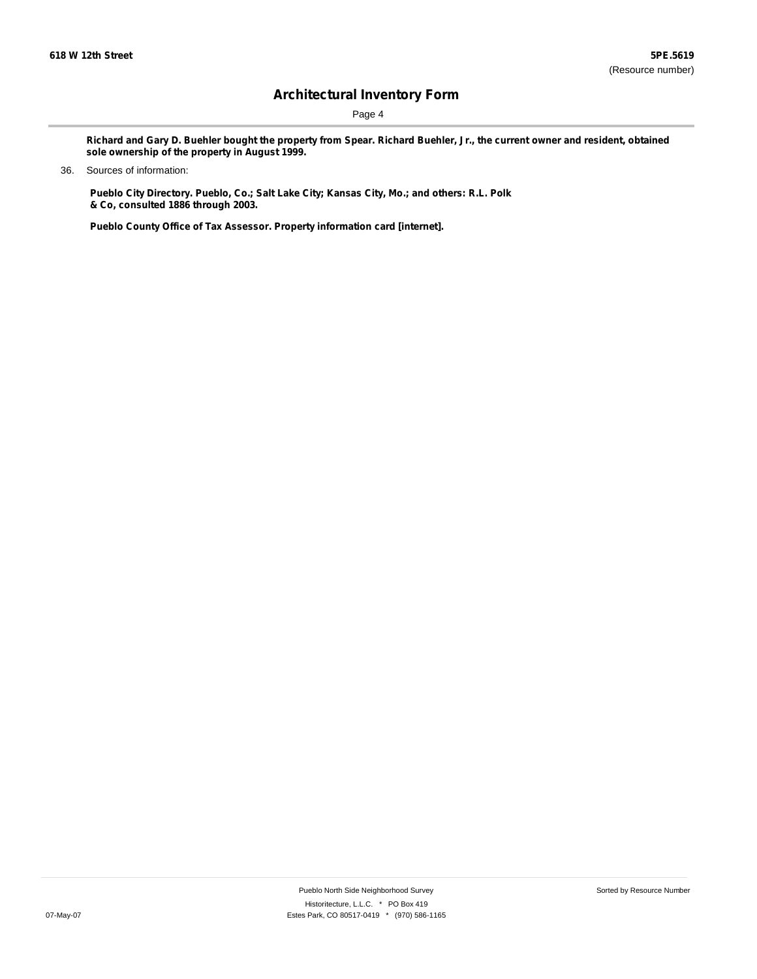Page 4

Richard and Gary D. Buehler bought the property from Spear. Richard Buehler, Jr., the current owner and resident, obtained **sole ownership of the property in August 1999.**

### 36. Sources of information:

**Pueblo City Directory. Pueblo, Co.; Salt Lake City; Kansas City, Mo.; and others: R.L. Polk & Co, consulted 1886 through 2003.**

**Pueblo County Office of Tax Assessor. Property information card [internet].**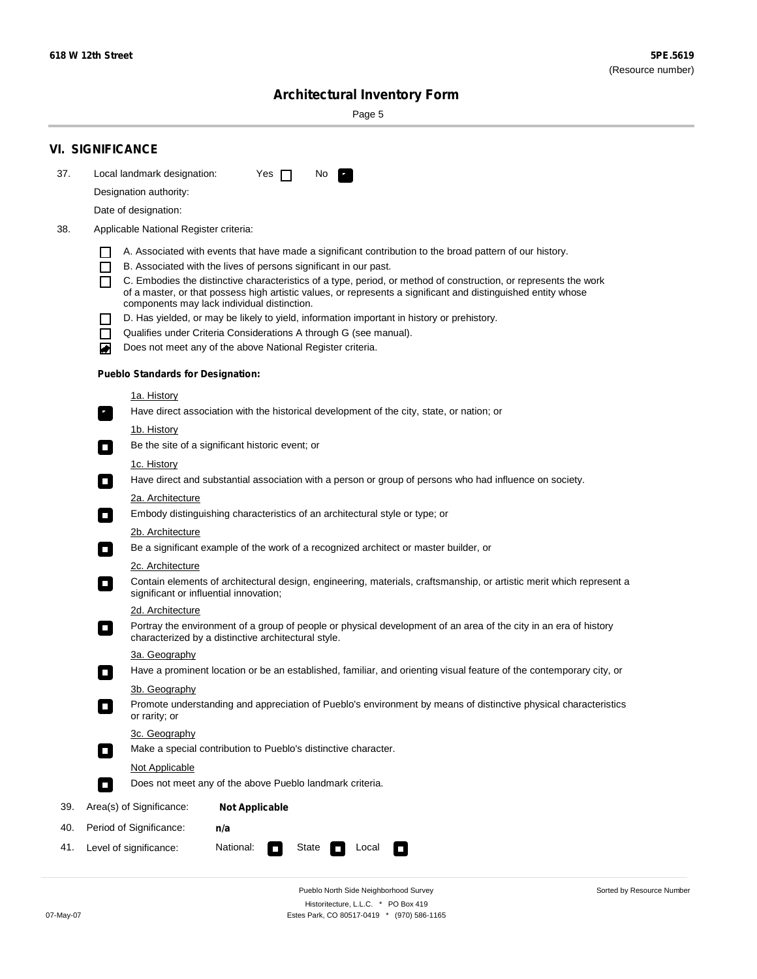Sorted by Resource Number

# **Architectural Inventory Form**

Page 5

|     | <b>VI. SIGNIFICANCE</b>                                                                                                                                                                        |
|-----|------------------------------------------------------------------------------------------------------------------------------------------------------------------------------------------------|
| 37. | Local landmark designation:<br>Yes $\Box$<br>No.<br>HE 2                                                                                                                                       |
|     | Designation authority:                                                                                                                                                                         |
|     | Date of designation:                                                                                                                                                                           |
| 38. | Applicable National Register criteria:                                                                                                                                                         |
|     |                                                                                                                                                                                                |
|     | A. Associated with events that have made a significant contribution to the broad pattern of our history.<br>B. Associated with the lives of persons significant in our past.<br>$\blacksquare$ |
|     | C. Embodies the distinctive characteristics of a type, period, or method of construction, or represents the work<br>П                                                                          |
|     | of a master, or that possess high artistic values, or represents a significant and distinguished entity whose<br>components may lack individual distinction.                                   |
|     | D. Has yielded, or may be likely to yield, information important in history or prehistory.                                                                                                     |
|     | Qualifies under Criteria Considerations A through G (see manual).<br>$\sim$                                                                                                                    |
|     | Does not meet any of the above National Register criteria.<br>₩                                                                                                                                |
|     | <b>Pueblo Standards for Designation:</b>                                                                                                                                                       |
|     | 1a. History                                                                                                                                                                                    |
|     | Have direct association with the historical development of the city, state, or nation; or<br>$\mathbf{r}_\perp$                                                                                |
|     | 1b. History                                                                                                                                                                                    |
|     | Be the site of a significant historic event; or<br>$\blacksquare$                                                                                                                              |
|     | 1c. History                                                                                                                                                                                    |
|     | Have direct and substantial association with a person or group of persons who had influence on society.<br>$\overline{\phantom{a}}$                                                            |
|     | 2a. Architecture                                                                                                                                                                               |
|     | Embody distinguishing characteristics of an architectural style or type; or<br>$\mathcal{L}_{\mathcal{A}}$                                                                                     |
|     | <u>2b. Architecture</u>                                                                                                                                                                        |
|     | Be a significant example of the work of a recognized architect or master builder, or<br>$\Box$                                                                                                 |
|     | 2c. Architecture                                                                                                                                                                               |
|     | Contain elements of architectural design, engineering, materials, craftsmanship, or artistic merit which represent a<br>$\Box$<br>significant or influential innovation;                       |
|     | 2d. Architecture                                                                                                                                                                               |
|     | Portray the environment of a group of people or physical development of an area of the city in an era of history<br>$\Box$<br>characterized by a distinctive architectural style.              |
|     | 3a. Geography                                                                                                                                                                                  |
|     | Have a prominent location or be an established, familiar, and orienting visual feature of the contemporary city, or                                                                            |
|     | 3b. Geography                                                                                                                                                                                  |
|     | Promote understanding and appreciation of Pueblo's environment by means of distinctive physical characteristics<br>or rarity; or                                                               |
|     | 3c. Geography                                                                                                                                                                                  |
|     | Make a special contribution to Pueblo's distinctive character.<br>$\Box$                                                                                                                       |
|     | <b>Not Applicable</b>                                                                                                                                                                          |
|     | Does not meet any of the above Pueblo landmark criteria.<br>$\overline{\phantom{a}}$                                                                                                           |
| 39. | Area(s) of Significance:<br><b>Not Applicable</b>                                                                                                                                              |
| 40. | Period of Significance:<br>n/a                                                                                                                                                                 |
| 41. | National:<br>Level of significance:<br>State<br>Local<br>$\sim$<br>□                                                                                                                           |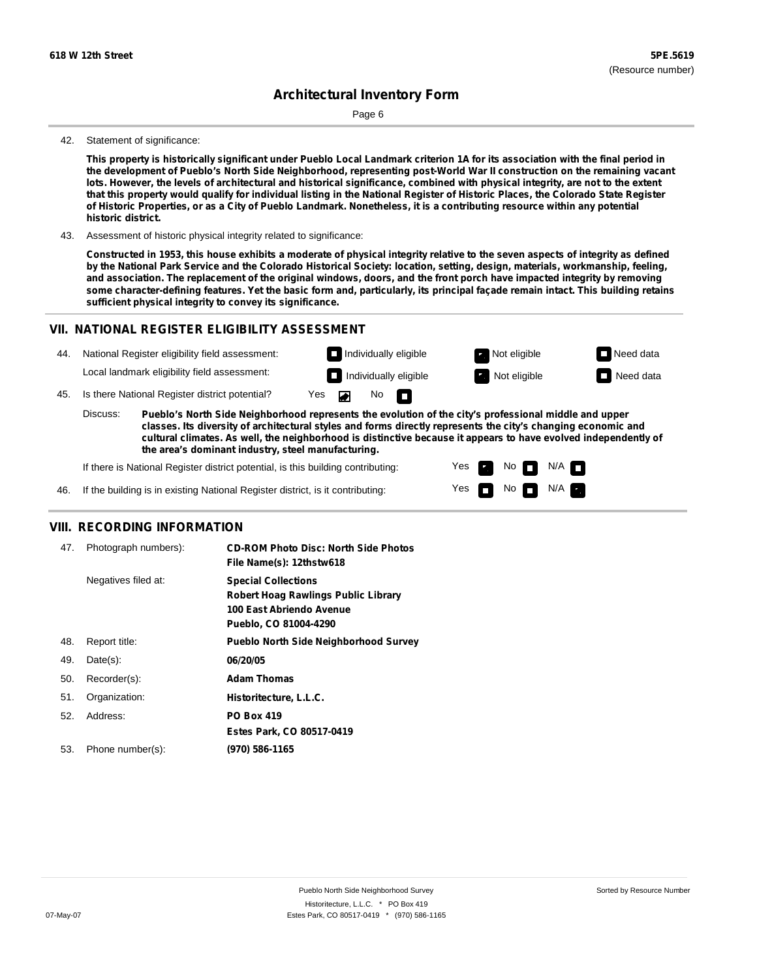Page 6

#### 42. Statement of significance:

This property is historically significant under Pueblo Local Landmark criterion 1A for its association with the final period in the development of Pueblo's North Side Neighborhood, representing post-World War II construction on the remaining vacant lots. However, the levels of architectural and historical significance, combined with physical integrity, are not to the extent that this property would qualify for individual listing in the National Register of Historic Places, the Colorado State Register of Historic Properties, or as a City of Pueblo Landmark. Nonetheless, it is a contributing resource within any potential **historic district.**

43. Assessment of historic physical integrity related to significance:

Constructed in 1953, this house exhibits a moderate of physical integrity relative to the seven aspects of integrity as defined by the National Park Service and the Colorado Historical Society: location, setting, design, materials, workmanship, feeling, and association. The replacement of the original windows, doors, and the front porch have impacted integrity by removing some character-defining features. Yet the basic form and, particularly, its principal façade remain intact. This building retains **sufficient physical integrity to convey its significance.**

### **VII. NATIONAL REGISTER ELIGIBILITY ASSESSMENT**



Yes Yes

**The Second Second** 

No **DI**N/A No  $\blacksquare$  N/A  $\blacksquare$ 

**cultural climates. As well, the neighborhood is distinctive because it appears to have evolved independently of the area's dominant industry, steel manufacturing.**

If there is National Register district potential, is this building contributing:

If the building is in existing National Register district, is it contributing: 46.

### **VIII. RECORDING INFORMATION**

| 47. | Photograph numbers): | <b>CD-ROM Photo Disc: North Side Photos</b><br>File Name(s): 12thstw618                                                       |
|-----|----------------------|-------------------------------------------------------------------------------------------------------------------------------|
|     | Negatives filed at:  | <b>Special Collections</b><br><b>Robert Hoag Rawlings Public Library</b><br>100 East Abriendo Avenue<br>Pueblo, CO 81004-4290 |
| 48. | Report title:        | <b>Pueblo North Side Neighborhood Survey</b>                                                                                  |
| 49. | $Date(s)$ :          | 06/20/05                                                                                                                      |
| 50. | Recorder(s):         | <b>Adam Thomas</b>                                                                                                            |
| 51. | Organization:        | Historitecture, L.L.C.                                                                                                        |
| 52. | Address:             | <b>PO Box 419</b>                                                                                                             |
|     |                      | Estes Park, CO 80517-0419                                                                                                     |
| 53. | Phone number(s):     | (970) 586-1165                                                                                                                |
|     |                      |                                                                                                                               |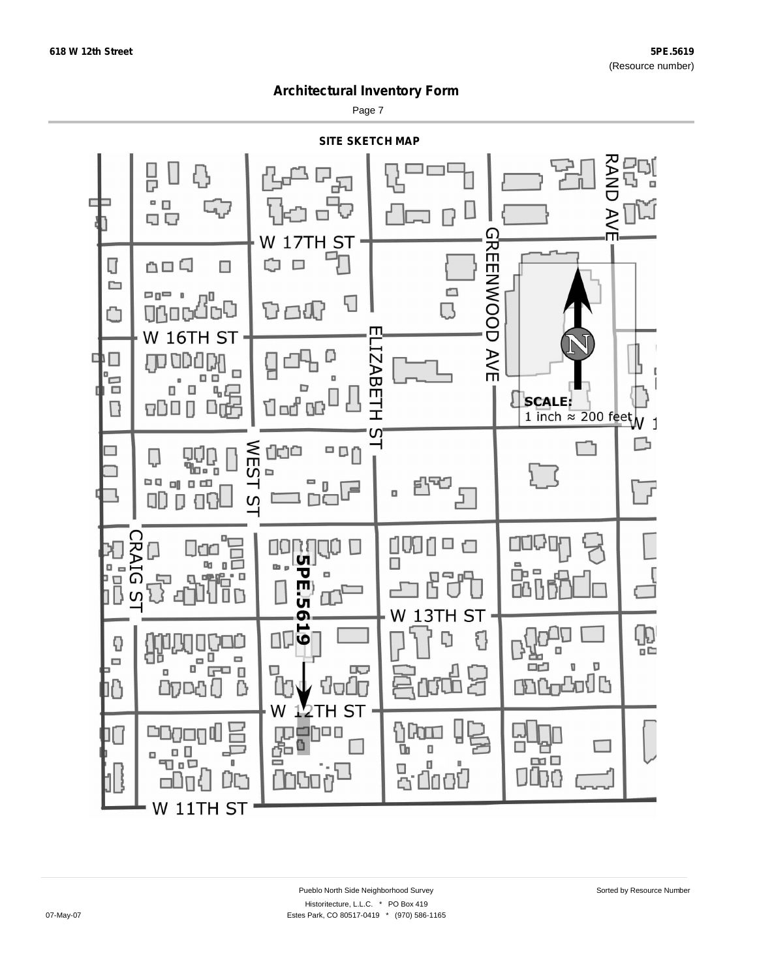Page 7